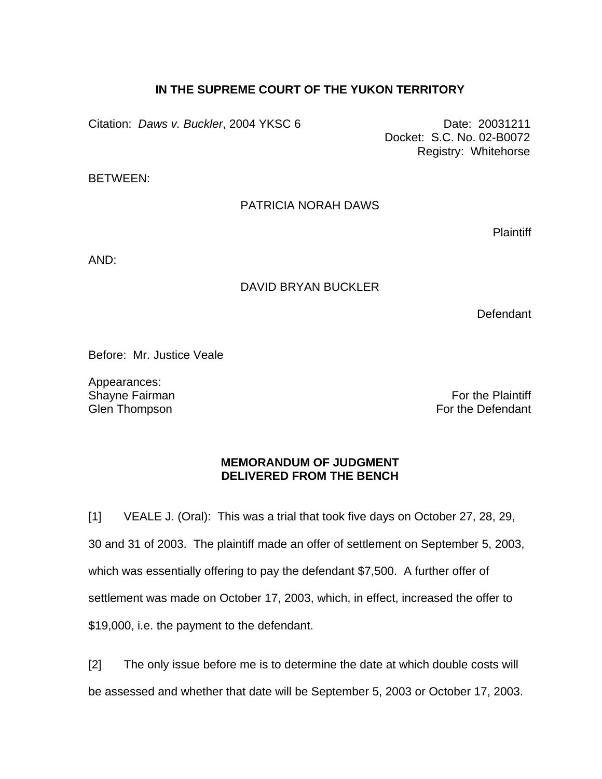## **IN THE SUPREME COURT OF THE YUKON TERRITORY**

Citation: *Daws v. Buckler*, 2004 YKSC 6 Date: 20031211

 Docket: S.C. No. 02-B0072 Registry: Whitehorse

BETWEEN:

## PATRICIA NORAH DAWS

**Plaintiff** 

AND:

## DAVID BRYAN BUCKLER

**Defendant** 

Before: Mr. Justice Veale

Appearances: Shayne Fairman Glen Thompson

For the Plaintiff For the Defendant

## **MEMORANDUM OF JUDGMENT DELIVERED FROM THE BENCH**

[1] VEALE J. (Oral): This was a trial that took five days on October 27, 28, 29, 30 and 31 of 2003. The plaintiff made an offer of settlement on September 5, 2003, which was essentially offering to pay the defendant \$7,500. A further offer of settlement was made on October 17, 2003, which, in effect, increased the offer to \$19,000, i.e. the payment to the defendant.

[2] The only issue before me is to determine the date at which double costs will be assessed and whether that date will be September 5, 2003 or October 17, 2003.